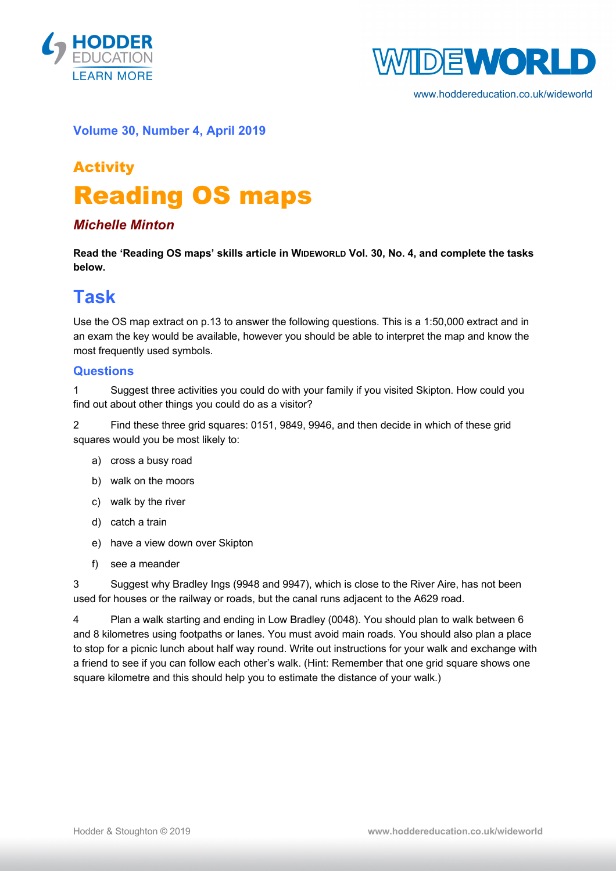



www.hoddereducation.co.uk/wideworld

#### **Volume 30, Number 4, April 2019**

# Activity Reading OS maps

#### *Michelle Minton*

**Read the 'Reading OS maps' skills article in WIDEWORLD Vol. 30, No. 4, and complete the tasks below.**

### **Task**

Use the OS map extract on p.13 to answer the following questions. This is a 1:50,000 extract and in an exam the key would be available, however you should be able to interpret the map and know the most frequently used symbols.

#### **Questions**

1 Suggest three activities you could do with your family if you visited Skipton. How could you find out about other things you could do as a visitor?

2 Find these three grid squares: 0151, 9849, 9946, and then decide in which of these grid squares would you be most likely to:

- a) cross a busy road
- b) walk on the moors
- c) walk by the river
- d) catch a train
- e) have a view down over Skipton
- f) see a meander

3 Suggest why Bradley Ings (9948 and 9947), which is close to the River Aire, has not been used for houses or the railway or roads, but the canal runs adjacent to the A629 road.

4 Plan a walk starting and ending in Low Bradley (0048). You should plan to walk between 6 and 8 kilometres using footpaths or lanes. You must avoid main roads. You should also plan a place to stop for a picnic lunch about half way round. Write out instructions for your walk and exchange with a friend to see if you can follow each other's walk. (Hint: Remember that one grid square shows one square kilometre and this should help you to estimate the distance of your walk.)